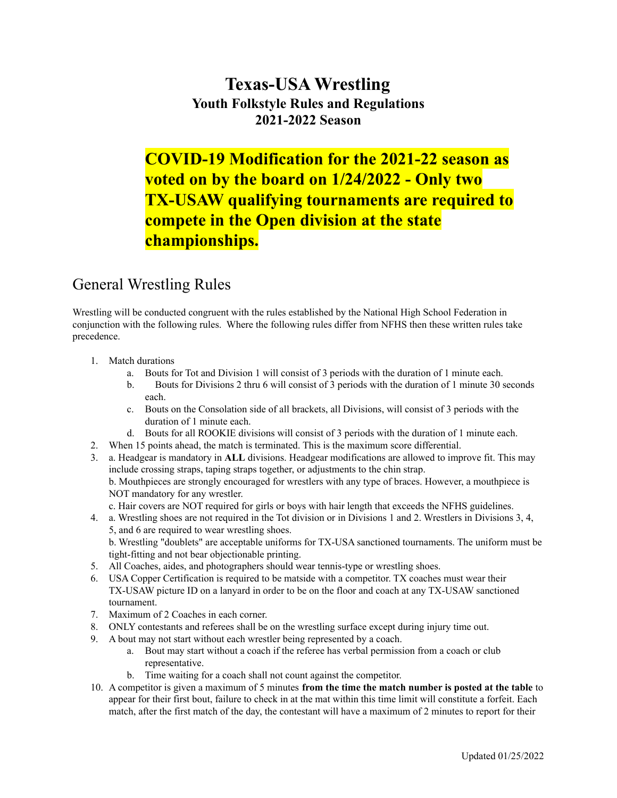## **Texas-USA Wrestling Youth Folkstyle Rules and Regulations 2021-2022 Season**

# **COVID-19 Modification for the 2021-22 season as voted on by the board on 1/24/2022 - Only two TX-USAW qualifying tournaments are required to compete in the Open division at the state championships.**

## General Wrestling Rules

Wrestling will be conducted congruent with the rules established by the National High School Federation in conjunction with the following rules. Where the following rules differ from NFHS then these written rules take precedence.

- 1. Match durations
	- a. Bouts for Tot and Division 1 will consist of 3 periods with the duration of 1 minute each.
	- b. Bouts for Divisions 2 thru 6 will consist of 3 periods with the duration of 1 minute 30 seconds each.
	- c. Bouts on the Consolation side of all brackets, all Divisions, will consist of 3 periods with the duration of 1 minute each.
	- d. Bouts for all ROOKIE divisions will consist of 3 periods with the duration of 1 minute each.
- 2. When 15 points ahead, the match is terminated. This is the maximum score differential.
- 3. a. Headgear is mandatory in **ALL** divisions. Headgear modifications are allowed to improve fit. This may include crossing straps, taping straps together, or adjustments to the chin strap. b. Mouthpieces are strongly encouraged for wrestlers with any type of braces. However, a mouthpiece is NOT mandatory for any wrestler.
	- c. Hair covers are NOT required for girls or boys with hair length that exceeds the NFHS guidelines.
- 4. a. Wrestling shoes are not required in the Tot division or in Divisions 1 and 2. Wrestlers in Divisions 3, 4, 5, and 6 are required to wear wrestling shoes. b. Wrestling "doublets" are acceptable uniforms for TX-USA sanctioned tournaments. The uniform must be
- tight-fitting and not bear objectionable printing. 5. All Coaches, aides, and photographers should wear tennis-type or wrestling shoes.
- 6. USA Copper Certification is required to be matside with a competitor. TX coaches must wear their TX-USAW picture ID on a lanyard in order to be on the floor and coach at any TX-USAW sanctioned tournament.
- 7. Maximum of 2 Coaches in each corner.
- 8. ONLY contestants and referees shall be on the wrestling surface except during injury time out.
- 9. A bout may not start without each wrestler being represented by a coach.
	- a. Bout may start without a coach if the referee has verbal permission from a coach or club representative.
	- b. Time waiting for a coach shall not count against the competitor.
- 10. A competitor is given a maximum of 5 minutes **from the time the match number is posted at the table** to appear for their first bout, failure to check in at the mat within this time limit will constitute a forfeit. Each match, after the first match of the day, the contestant will have a maximum of 2 minutes to report for their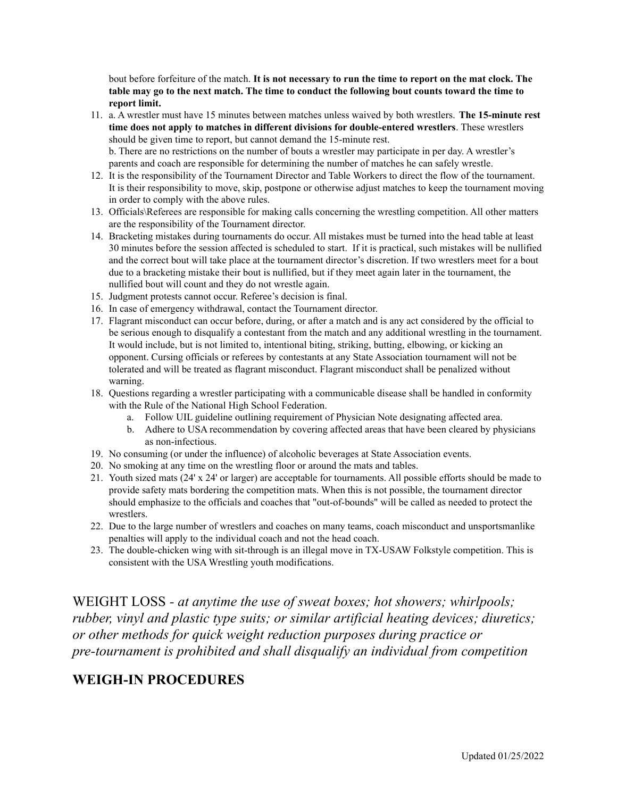bout before forfeiture of the match. **It is not necessary to run the time to report on the mat clock. The** table may go to the next match. The time to conduct the following bout counts toward the time to **report limit.**

- 11. a. A wrestler must have 15 minutes between matches unless waived by both wrestlers. **The 15-minute rest time does not apply to matches in different divisions for double-entered wrestlers**. These wrestlers should be given time to report, but cannot demand the 15-minute rest. b. There are no restrictions on the number of bouts a wrestler may participate in per day. A wrestler's parents and coach are responsible for determining the number of matches he can safely wrestle.
- 12. It is the responsibility of the Tournament Director and Table Workers to direct the flow of the tournament. It is their responsibility to move, skip, postpone or otherwise adjust matches to keep the tournament moving in order to comply with the above rules.
- 13. Officials\Referees are responsible for making calls concerning the wrestling competition. All other matters are the responsibility of the Tournament director.
- 14. Bracketing mistakes during tournaments do occur. All mistakes must be turned into the head table at least 30 minutes before the session affected is scheduled to start. If it is practical, such mistakes will be nullified and the correct bout will take place at the tournament director's discretion. If two wrestlers meet for a bout due to a bracketing mistake their bout is nullified, but if they meet again later in the tournament, the nullified bout will count and they do not wrestle again.
- 15. Judgment protests cannot occur. Referee's decision is final.
- 16. In case of emergency withdrawal, contact the Tournament director.
- 17. Flagrant misconduct can occur before, during, or after a match and is any act considered by the official to be serious enough to disqualify a contestant from the match and any additional wrestling in the tournament. It would include, but is not limited to, intentional biting, striking, butting, elbowing, or kicking an opponent. Cursing officials or referees by contestants at any State Association tournament will not be tolerated and will be treated as flagrant misconduct. Flagrant misconduct shall be penalized without warning.
- 18. Questions regarding a wrestler participating with a communicable disease shall be handled in conformity with the Rule of the National High School Federation.
	- a. Follow UIL guideline outlining requirement of Physician Note designating affected area.
	- b. Adhere to USA recommendation by covering affected areas that have been cleared by physicians as non-infectious.
- 19. No consuming (or under the influence) of alcoholic beverages at State Association events.
- 20. No smoking at any time on the wrestling floor or around the mats and tables.
- 21. Youth sized mats (24' x 24' or larger) are acceptable for tournaments. All possible efforts should be made to provide safety mats bordering the competition mats. When this is not possible, the tournament director should emphasize to the officials and coaches that "out-of-bounds" will be called as needed to protect the wrestlers.
- 22. Due to the large number of wrestlers and coaches on many teams, coach misconduct and unsportsmanlike penalties will apply to the individual coach and not the head coach.
- 23. The double-chicken wing with sit-through is an illegal move in TX-USAW Folkstyle competition. This is consistent with the USA Wrestling youth modifications.

WEIGHT LOSS *- at anytime the use of sweat boxes; hot showers; whirlpools; rubber, vinyl and plastic type suits; or similar artificial heating devices; diuretics; or other methods for quick weight reduction purposes during practice or pre-tournament is prohibited and shall disqualify an individual from competition*

### **WEIGH-IN PROCEDURES**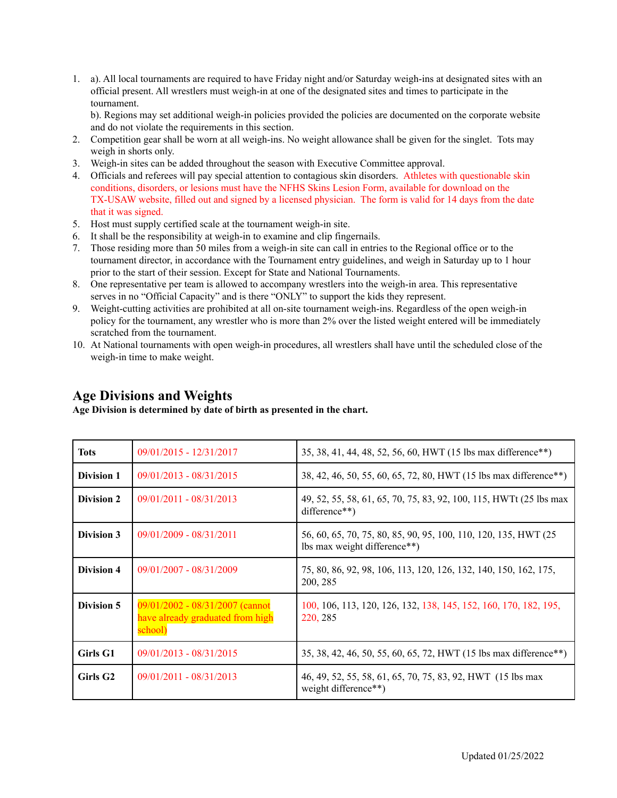1. a). All local tournaments are required to have Friday night and/or Saturday weigh-ins at designated sites with an official present. All wrestlers must weigh-in at one of the designated sites and times to participate in the tournament.

b). Regions may set additional weigh-in policies provided the policies are documented on the corporate website and do not violate the requirements in this section.

- 2. Competition gear shall be worn at all weigh-ins. No weight allowance shall be given for the singlet. Tots may weigh in shorts only.
- 3. Weigh-in sites can be added throughout the season with Executive Committee approval.
- 4. Officials and referees will pay special attention to contagious skin disorders. Athletes with questionable skin conditions, disorders, or lesions must have the NFHS Skins Lesion Form, available for download on the TX-USAW website, filled out and signed by a licensed physician. The form is valid for 14 days from the date that it was signed.
- 5. Host must supply certified scale at the tournament weigh-in site.
- 6. It shall be the responsibility at weigh-in to examine and clip fingernails.
- 7. Those residing more than 50 miles from a weigh-in site can call in entries to the Regional office or to the tournament director, in accordance with the Tournament entry guidelines, and weigh in Saturday up to 1 hour prior to the start of their session. Except for State and National Tournaments.
- 8. One representative per team is allowed to accompany wrestlers into the weigh-in area. This representative serves in no "Official Capacity" and is there "ONLY" to support the kids they represent.
- 9. Weight-cutting activities are prohibited at all on-site tournament weigh-ins. Regardless of the open weigh-in policy for the tournament, any wrestler who is more than 2% over the listed weight entered will be immediately scratched from the tournament.
- 10. At National tournaments with open weigh-in procedures, all wrestlers shall have until the scheduled close of the weigh-in time to make weight.

### **Age Divisions and Weights**

**Age Division is determined by date of birth as presented in the chart.**

| Tots                 | 09/01/2015 - 12/31/2017                                                          | 35, 38, 41, 44, 48, 52, 56, 60, HWT (15 lbs max difference**)                                   |  |  |
|----------------------|----------------------------------------------------------------------------------|-------------------------------------------------------------------------------------------------|--|--|
| Division 1           | $09/01/2013 - 08/31/2015$                                                        | 38, 42, 46, 50, 55, 60, 65, 72, 80, HWT (15 lbs max difference**)                               |  |  |
| Division 2           | 09/01/2011 - 08/31/2013                                                          | 49, 52, 55, 58, 61, 65, 70, 75, 83, 92, 100, 115, HWTt (25 lbs max<br>difference**)             |  |  |
| Division 3           | $09/01/2009 - 08/31/2011$                                                        | 56, 60, 65, 70, 75, 80, 85, 90, 95, 100, 110, 120, 135, HWT (25<br>lbs max weight difference**) |  |  |
| Division 4           | 09/01/2007 - 08/31/2009                                                          | 75, 80, 86, 92, 98, 106, 113, 120, 126, 132, 140, 150, 162, 175,<br>200, 285                    |  |  |
| Division 5           | $09/01/2002 - 08/31/2007$ (cannot<br>have already graduated from high<br>school) | 100, 106, 113, 120, 126, 132, 138, 145, 152, 160, 170, 182, 195,<br>220, 285                    |  |  |
| Girls G1             | $09/01/2013 - 08/31/2015$                                                        | 35, 38, 42, 46, 50, 55, 60, 65, 72, HWT (15 lbs max difference**)                               |  |  |
| Girls G <sub>2</sub> | $09/01/2011 - 08/31/2013$                                                        | 46, 49, 52, 55, 58, 61, 65, 70, 75, 83, 92, HWT (15 lbs max<br>weight difference**)             |  |  |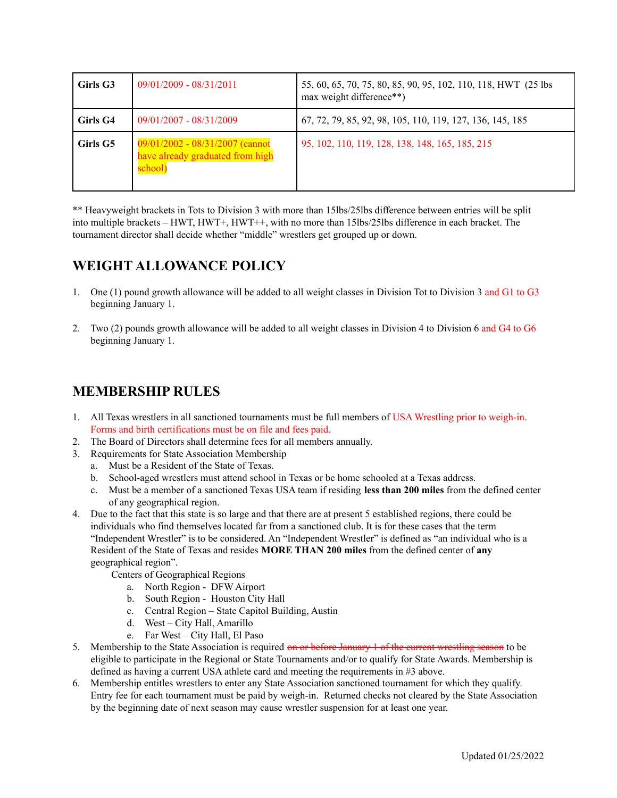| Girls G3 | $09/01/2009 - 08/31/2011$                                                     | 55, 60, 65, 70, 75, 80, 85, 90, 95, 102, 110, 118, HWT (25 lbs)<br>max weight difference**) |
|----------|-------------------------------------------------------------------------------|---------------------------------------------------------------------------------------------|
| Girls G4 | 09/01/2007 - 08/31/2009                                                       | 67, 72, 79, 85, 92, 98, 105, 110, 119, 127, 136, 145, 185                                   |
| Girls G5 | 09/01/2002 - 08/31/2007 (cannot<br>have already graduated from high<br>school | 95, 102, 110, 119, 128, 138, 148, 165, 185, 215                                             |

\*\* Heavyweight brackets in Tots to Division 3 with more than 15lbs/25lbs difference between entries will be split into multiple brackets – HWT, HWT+, HWT++, with no more than 15lbs/25lbs difference in each bracket. The tournament director shall decide whether "middle" wrestlers get grouped up or down.

## **WEIGHT ALLOWANCE POLICY**

- 1. One (1) pound growth allowance will be added to all weight classes in Division Tot to Division 3 and G1 to G3 beginning January 1.
- 2. Two (2) pounds growth allowance will be added to all weight classes in Division 4 to Division 6 and G4 to G6 beginning January 1.

### **MEMBERSHIP RULES**

- 1. All Texas wrestlers in all sanctioned tournaments must be full members of USA Wrestling prior to weigh-in. Forms and birth certifications must be on file and fees paid.
- 2. The Board of Directors shall determine fees for all members annually.
- 3. Requirements for State Association Membership
	- a. Must be a Resident of the State of Texas.
	- b. School-aged wrestlers must attend school in Texas or be home schooled at a Texas address.
	- c. Must be a member of a sanctioned Texas USA team if residing **less than 200 miles** from the defined center of any geographical region.
- 4. Due to the fact that this state is so large and that there are at present 5 established regions, there could be individuals who find themselves located far from a sanctioned club. It is for these cases that the term "Independent Wrestler" is to be considered. An "Independent Wrestler" is defined as "an individual who is a Resident of the State of Texas and resides **MORE THAN 200 miles** from the defined center of **any** geographical region".
	- Centers of Geographical Regions
		- a. North Region DFW Airport
		- b. South Region Houston City Hall
		- c. Central Region State Capitol Building, Austin
		- d. West City Hall, Amarillo
		- e. Far West City Hall, El Paso
- 5. Membership to the State Association is required on or before January 1 of the current wrestling season to be eligible to participate in the Regional or State Tournaments and/or to qualify for State Awards. Membership is defined as having a current USA athlete card and meeting the requirements in #3 above.
- 6. Membership entitles wrestlers to enter any State Association sanctioned tournament for which they qualify. Entry fee for each tournament must be paid by weigh-in. Returned checks not cleared by the State Association by the beginning date of next season may cause wrestler suspension for at least one year.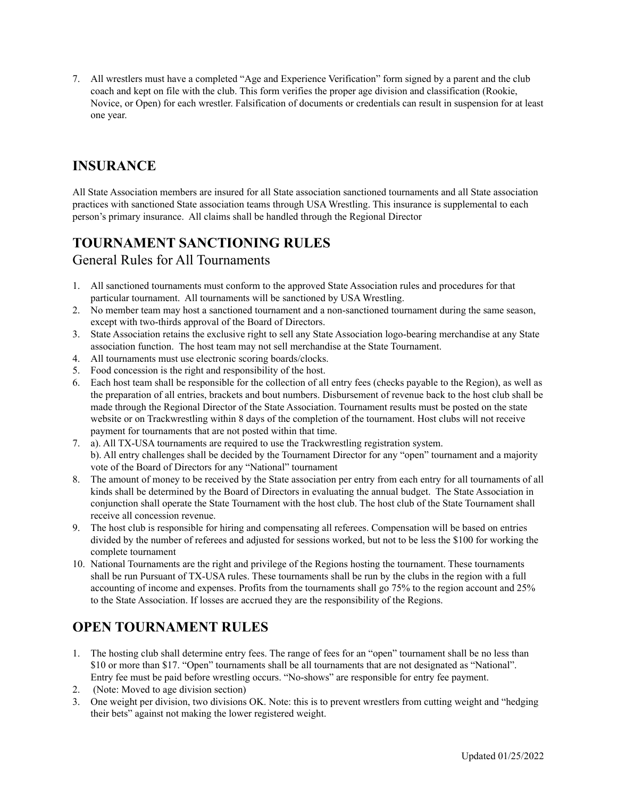7. All wrestlers must have a completed "Age and Experience Verification" form signed by a parent and the club coach and kept on file with the club. This form verifies the proper age division and classification (Rookie, Novice, or Open) for each wrestler. Falsification of documents or credentials can result in suspension for at least one year.

### **INSURANCE**

All State Association members are insured for all State association sanctioned tournaments and all State association practices with sanctioned State association teams through USA Wrestling. This insurance is supplemental to each person's primary insurance. All claims shall be handled through the Regional Director

## **TOURNAMENT SANCTIONING RULES**

### General Rules for All Tournaments

- 1. All sanctioned tournaments must conform to the approved State Association rules and procedures for that particular tournament. All tournaments will be sanctioned by USA Wrestling.
- 2. No member team may host a sanctioned tournament and a non-sanctioned tournament during the same season, except with two-thirds approval of the Board of Directors.
- 3. State Association retains the exclusive right to sell any State Association logo-bearing merchandise at any State association function. The host team may not sell merchandise at the State Tournament.
- 4. All tournaments must use electronic scoring boards/clocks.
- 5. Food concession is the right and responsibility of the host.
- 6. Each host team shall be responsible for the collection of all entry fees (checks payable to the Region), as well as the preparation of all entries, brackets and bout numbers. Disbursement of revenue back to the host club shall be made through the Regional Director of the State Association. Tournament results must be posted on the state website or on Trackwrestling within 8 days of the completion of the tournament. Host clubs will not receive payment for tournaments that are not posted within that time.
- 7. a). All TX-USA tournaments are required to use the Trackwrestling registration system. b). All entry challenges shall be decided by the Tournament Director for any "open" tournament and a majority vote of the Board of Directors for any "National" tournament
- 8. The amount of money to be received by the State association per entry from each entry for all tournaments of all kinds shall be determined by the Board of Directors in evaluating the annual budget. The State Association in conjunction shall operate the State Tournament with the host club. The host club of the State Tournament shall receive all concession revenue.
- 9. The host club is responsible for hiring and compensating all referees. Compensation will be based on entries divided by the number of referees and adjusted for sessions worked, but not to be less the \$100 for working the complete tournament
- 10. National Tournaments are the right and privilege of the Regions hosting the tournament. These tournaments shall be run Pursuant of TX-USA rules. These tournaments shall be run by the clubs in the region with a full accounting of income and expenses. Profits from the tournaments shall go 75% to the region account and 25% to the State Association. If losses are accrued they are the responsibility of the Regions.

## **OPEN TOURNAMENT RULES**

- 1. The hosting club shall determine entry fees. The range of fees for an "open" tournament shall be no less than \$10 or more than \$17. "Open" tournaments shall be all tournaments that are not designated as "National". Entry fee must be paid before wrestling occurs. "No-shows" are responsible for entry fee payment.
- 2. (Note: Moved to age division section)
- 3. One weight per division, two divisions OK. Note: this is to prevent wrestlers from cutting weight and "hedging their bets" against not making the lower registered weight.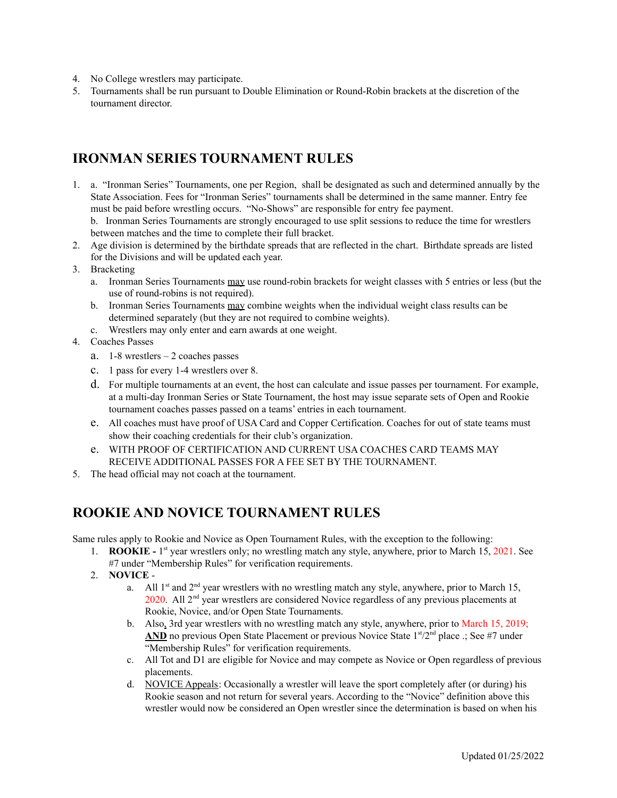- 4. No College wrestlers may participate.
- 5. Tournaments shall be run pursuant to Double Elimination or Round-Robin brackets at the discretion of the tournament director.

### **IRONMAN SERIES TOURNAMENT RULES**

- 1. a. "Ironman Series" Tournaments, one per Region, shall be designated as such and determined annually by the State Association. Fees for "Ironman Series" tournaments shall be determined in the same manner. Entry fee must be paid before wrestling occurs. "No-Shows" are responsible for entry fee payment. b. Ironman Series Tournaments are strongly encouraged to use split sessions to reduce the time for wrestlers between matches and the time to complete their full bracket.
- 2. Age division is determined by the birthdate spreads that are reflected in the chart. Birthdate spreads are listed for the Divisions and will be updated each year.
- 3. Bracketing
	- a. Ironman Series Tournaments may use round-robin brackets for weight classes with 5 entries or less (but the use of round-robins is not required).
	- b. Ironman Series Tournaments may combine weights when the individual weight class results can be determined separately (but they are not required to combine weights).
	- c. Wrestlers may only enter and earn awards at one weight.
- 4. Coaches Passes
	- a. 1-8 wrestlers 2 coaches passes
	- c. 1 pass for every 1-4 wrestlers over 8.
	- d. For multiple tournaments at an event, the host can calculate and issue passes per tournament. For example, at a multi-day Ironman Series or State Tournament, the host may issue separate sets of Open and Rookie tournament coaches passes passed on a teams' entries in each tournament.
	- e. All coaches must have proof of USA Card and Copper Certification. Coaches for out of state teams must show their coaching credentials for their club's organization.
	- e. WITH PROOF OF CERTIFICATION AND CURRENT USA COACHES CARD TEAMS MAY RECEIVE ADDITIONAL PASSES FOR A FEE SET BY THE TOURNAMENT.
- 5. The head official may not coach at the tournament.

### **ROOKIE AND NOVICE TOURNAMENT RULES**

Same rules apply to Rookie and Novice as Open Tournament Rules, with the exception to the following:

- 1. **ROOKIE -** 1<sup>st</sup> year wrestlers only; no wrestling match any style, anywhere, prior to March 15, 2021. See
	- #7 under "Membership Rules" for verification requirements.
- 2. **NOVICE**
	- a. All  $1<sup>st</sup>$  and  $2<sup>nd</sup>$  year wrestlers with no wrestling match any style, anywhere, prior to March 15,  $2020$ . All  $2<sup>nd</sup>$  year wrestlers are considered Novice regardless of any previous placements at Rookie, Novice, and/or Open State Tournaments.
	- b. Also, 3rd year wrestlers with no wrestling match any style, anywhere, prior to March 15, 2019; AND no previous Open State Placement or previous Novice State 1<sup>st</sup>/2<sup>nd</sup> place .; See #7 under "Membership Rules" for verification requirements.
	- c. All Tot and D1 are eligible for Novice and may compete as Novice or Open regardless of previous placements.
	- d. NOVICE Appeals: Occasionally a wrestler will leave the sport completely after (or during) his Rookie season and not return for several years. According to the "Novice" definition above this wrestler would now be considered an Open wrestler since the determination is based on when his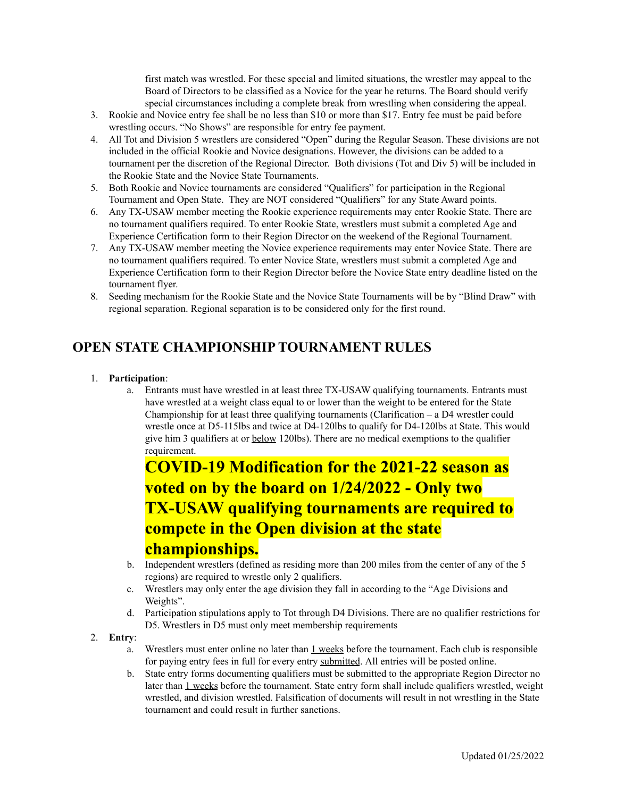first match was wrestled. For these special and limited situations, the wrestler may appeal to the Board of Directors to be classified as a Novice for the year he returns. The Board should verify special circumstances including a complete break from wrestling when considering the appeal.

- 3. Rookie and Novice entry fee shall be no less than \$10 or more than \$17. Entry fee must be paid before wrestling occurs. "No Shows" are responsible for entry fee payment.
- 4. All Tot and Division 5 wrestlers are considered "Open" during the Regular Season. These divisions are not included in the official Rookie and Novice designations. However, the divisions can be added to a tournament per the discretion of the Regional Director. Both divisions (Tot and Div 5) will be included in the Rookie State and the Novice State Tournaments.
- 5. Both Rookie and Novice tournaments are considered "Qualifiers" for participation in the Regional Tournament and Open State. They are NOT considered "Qualifiers" for any State Award points.
- 6. Any TX-USAW member meeting the Rookie experience requirements may enter Rookie State. There are no tournament qualifiers required. To enter Rookie State, wrestlers must submit a completed Age and Experience Certification form to their Region Director on the weekend of the Regional Tournament.
- 7. Any TX-USAW member meeting the Novice experience requirements may enter Novice State. There are no tournament qualifiers required. To enter Novice State, wrestlers must submit a completed Age and Experience Certification form to their Region Director before the Novice State entry deadline listed on the tournament flyer.
- 8. Seeding mechanism for the Rookie State and the Novice State Tournaments will be by "Blind Draw" with regional separation. Regional separation is to be considered only for the first round.

### **OPEN STATE CHAMPIONSHIP TOURNAMENT RULES**

#### 1. **Participation**:

a. Entrants must have wrestled in at least three TX-USAW qualifying tournaments. Entrants must have wrestled at a weight class equal to or lower than the weight to be entered for the State Championship for at least three qualifying tournaments (Clarification  $-$  a D4 wrestler could wrestle once at D5-115lbs and twice at D4-120lbs to qualify for D4-120lbs at State. This would give him 3 qualifiers at or below 120lbs). There are no medical exemptions to the qualifier requirement.

# **COVID-19 Modification for the 2021-22 season as voted on by the board on 1/24/2022 - Only two TX-USAW qualifying tournaments are required to compete in the Open division at the state championships.**

- b. Independent wrestlers (defined as residing more than 200 miles from the center of any of the 5 regions) are required to wrestle only 2 qualifiers.
- c. Wrestlers may only enter the age division they fall in according to the "Age Divisions and Weights".
- d. Participation stipulations apply to Tot through D4 Divisions. There are no qualifier restrictions for D5. Wrestlers in D5 must only meet membership requirements

#### 2. **Entry**:

- a. Wrestlers must enter online no later than 1 weeks before the tournament. Each club is responsible for paying entry fees in full for every entry submitted. All entries will be posted online.
- b. State entry forms documenting qualifiers must be submitted to the appropriate Region Director no later than 1 weeks before the tournament. State entry form shall include qualifiers wrestled, weight wrestled, and division wrestled. Falsification of documents will result in not wrestling in the State tournament and could result in further sanctions.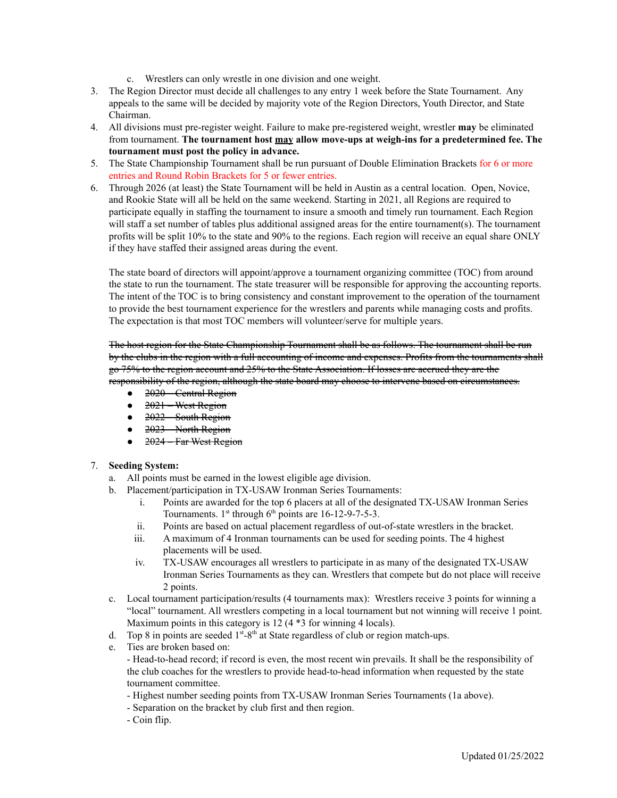- c. Wrestlers can only wrestle in one division and one weight.
- 3. The Region Director must decide all challenges to any entry 1 week before the State Tournament. Any appeals to the same will be decided by majority vote of the Region Directors, Youth Director, and State Chairman.
- 4. All divisions must pre-register weight. Failure to make pre-registered weight, wrestler **may** be eliminated from tournament. **The tournament host may allow move-ups at weigh-ins for a predetermined fee. The tournament must post the policy in advance.**
- 5. The State Championship Tournament shall be run pursuant of Double Elimination Brackets for 6 or more entries and Round Robin Brackets for 5 or fewer entries.
- 6. Through 2026 (at least) the State Tournament will be held in Austin as a central location. Open, Novice, and Rookie State will all be held on the same weekend. Starting in 2021, all Regions are required to participate equally in staffing the tournament to insure a smooth and timely run tournament. Each Region will staff a set number of tables plus additional assigned areas for the entire tournament(s). The tournament profits will be split 10% to the state and 90% to the regions. Each region will receive an equal share ONLY if they have staffed their assigned areas during the event.

The state board of directors will appoint/approve a tournament organizing committee (TOC) from around the state to run the tournament. The state treasurer will be responsible for approving the accounting reports. The intent of the TOC is to bring consistency and constant improvement to the operation of the tournament to provide the best tournament experience for the wrestlers and parents while managing costs and profits. The expectation is that most TOC members will volunteer/serve for multiple years.

The host region for the State Championship Tournament shall be as follows. The tournament shall be run by the clubs in the region with a full accounting of income and expenses. Profits from the tournaments shall go 75% to the region account and 25% to the State Association. If losses are accrued they are the responsibility of the region, although the state board may choose to intervene based on circumstances.

- $\bullet$  2020 Central Region
- $\bullet$  2021 West Region
- $\bullet$  2022 South Region
- $\bullet$  2023 North Region
- $\bullet$  2024 Far West Region

#### 7. **Seeding System:**

- a. All points must be earned in the lowest eligible age division.
- b. Placement/participation in TX-USAW Ironman Series Tournaments:
	- i. Points are awarded for the top 6 placers at all of the designated TX-USAW Ironman Series Tournaments.  $1<sup>st</sup>$  through  $6<sup>th</sup>$  points are 16-12-9-7-5-3.
	- ii. Points are based on actual placement regardless of out-of-state wrestlers in the bracket.
	- iii. A maximum of 4 Ironman tournaments can be used for seeding points. The 4 highest placements will be used.
	- iv. TX-USAW encourages all wrestlers to participate in as many of the designated TX-USAW Ironman Series Tournaments as they can. Wrestlers that compete but do not place will receive 2 points.
- c. Local tournament participation/results (4 tournaments max): Wrestlers receive 3 points for winning a "local" tournament. All wrestlers competing in a local tournament but not winning will receive 1 point. Maximum points in this category is 12 (4  $*$ 3 for winning 4 locals).
- d. Top 8 in points are seeded  $1<sup>st</sup> 8<sup>th</sup>$  at State regardless of club or region match-ups.
- e. Ties are broken based on:
	- Head-to-head record; if record is even, the most recent win prevails. It shall be the responsibility of the club coaches for the wrestlers to provide head-to-head information when requested by the state tournament committee.
	- Highest number seeding points from TX-USAW Ironman Series Tournaments (1a above).
	- Separation on the bracket by club first and then region.
	- Coin flip.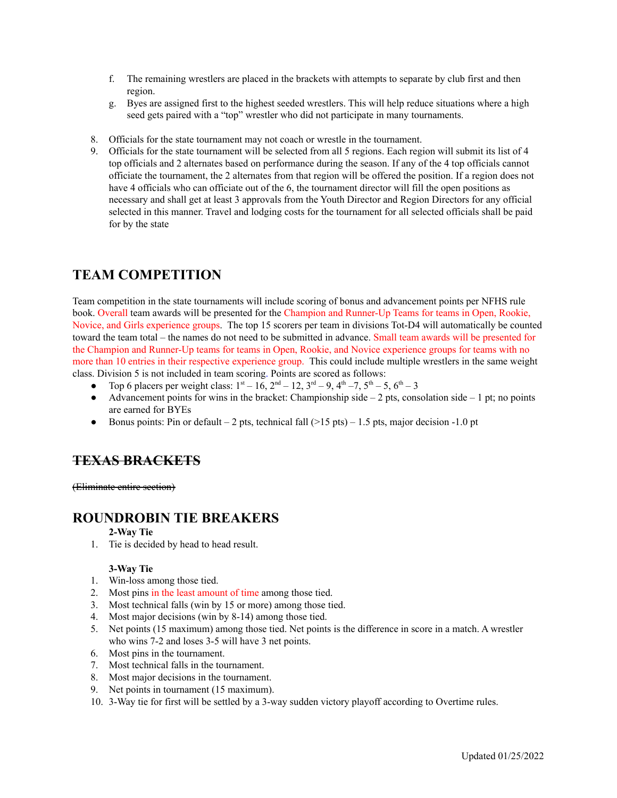- f. The remaining wrestlers are placed in the brackets with attempts to separate by club first and then region.
- g. Byes are assigned first to the highest seeded wrestlers. This will help reduce situations where a high seed gets paired with a "top" wrestler who did not participate in many tournaments.
- 8. Officials for the state tournament may not coach or wrestle in the tournament.
- 9. Officials for the state tournament will be selected from all 5 regions. Each region will submit its list of 4 top officials and 2 alternates based on performance during the season. If any of the 4 top officials cannot officiate the tournament, the 2 alternates from that region will be offered the position. If a region does not have 4 officials who can officiate out of the 6, the tournament director will fill the open positions as necessary and shall get at least 3 approvals from the Youth Director and Region Directors for any official selected in this manner. Travel and lodging costs for the tournament for all selected officials shall be paid for by the state

### **TEAM COMPETITION**

Team competition in the state tournaments will include scoring of bonus and advancement points per NFHS rule book. Overall team awards will be presented for the Champion and Runner-Up Teams for teams in Open, Rookie, Novice, and Girls experience groups. The top 15 scorers per team in divisions Tot-D4 will automatically be counted toward the team total – the names do not need to be submitted in advance. Small team awards will be presented for the Champion and Runner-Up teams for teams in Open, Rookie, and Novice experience groups for teams with no more than 10 entries in their respective experience group. This could include multiple wrestlers in the same weight class. Division 5 is not included in team scoring. Points are scored as follows:

- Top 6 placers per weight class:  $1<sup>st</sup> 16$ ,  $2<sup>nd</sup> 12$ ,  $3<sup>rd</sup> 9$ ,  $4<sup>th</sup> 7$ ,  $5<sup>th</sup> 5$ ,  $6<sup>th</sup> 3$
- Advancement points for wins in the bracket: Championship side  $-2$  pts, consolation side  $-1$  pt; no points are earned for BYEs
- Bonus points: Pin or default 2 pts, technical fall ( $>15$  pts) 1.5 pts, major decision -1.0 pt

### **TEXAS BRACKETS**

(Eliminate entire section)

### **ROUNDROBIN TIE BREAKERS**

#### **2-Way Tie**

1. Tie is decided by head to head result.

#### **3-Way Tie**

- 1. Win-loss among those tied.
- 2. Most pins in the least amount of time among those tied.
- 3. Most technical falls (win by 15 or more) among those tied.
- 4. Most major decisions (win by 8-14) among those tied.
- 5. Net points (15 maximum) among those tied. Net points is the difference in score in a match. A wrestler who wins 7-2 and loses 3-5 will have 3 net points.
- 6. Most pins in the tournament.
- 7. Most technical falls in the tournament.
- 8. Most major decisions in the tournament.
- 9. Net points in tournament (15 maximum).
- 10. 3-Way tie for first will be settled by a 3-way sudden victory playoff according to Overtime rules.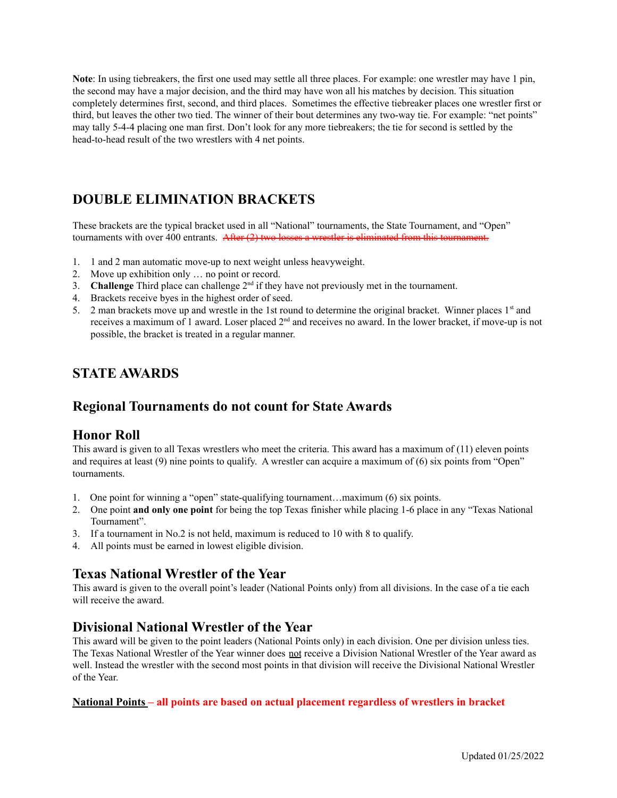**Note**: In using tiebreakers, the first one used may settle all three places. For example: one wrestler may have 1 pin, the second may have a major decision, and the third may have won all his matches by decision. This situation completely determines first, second, and third places. Sometimes the effective tiebreaker places one wrestler first or third, but leaves the other two tied. The winner of their bout determines any two-way tie. For example: "net points" may tally 5-4-4 placing one man first. Don't look for any more tiebreakers; the tie for second is settled by the head-to-head result of the two wrestlers with 4 net points.

## **DOUBLE ELIMINATION BRACKETS**

These brackets are the typical bracket used in all "National" tournaments, the State Tournament, and "Open" tournaments with over 400 entrants. After (2) two losses a wrestler is eliminated from this tournament.

- 1. 1 and 2 man automatic move-up to next weight unless heavyweight.
- 2. Move up exhibition only … no point or record.
- 3. **Challenge** Third place can challenge  $2<sup>nd</sup>$  if they have not previously met in the tournament.
- 4. Brackets receive byes in the highest order of seed.
- 5. 2 man brackets move up and wrestle in the 1st round to determine the original bracket. Winner places  $1<sup>st</sup>$  and receives a maximum of 1 award. Loser placed  $2<sup>nd</sup>$  and receives no award. In the lower bracket, if move-up is not possible, the bracket is treated in a regular manner.

### **STATE AWARDS**

### **Regional Tournaments do not count for State Awards**

### **Honor Roll**

This award is given to all Texas wrestlers who meet the criteria. This award has a maximum of (11) eleven points and requires at least (9) nine points to qualify. A wrestler can acquire a maximum of (6) six points from "Open" tournaments.

- 1. One point for winning a "open" state-qualifying tournament...maximum (6) six points.
- 2. One point **and only one point** for being the top Texas finisher while placing 1-6 place in any "Texas National Tournament".
- 3. If a tournament in No.2 is not held, maximum is reduced to 10 with 8 to qualify.
- 4. All points must be earned in lowest eligible division.

### **Texas National Wrestler of the Year**

This award is given to the overall point's leader (National Points only) from all divisions. In the case of a tie each will receive the award.

### **Divisional National Wrestler of the Year**

This award will be given to the point leaders (National Points only) in each division. One per division unless ties. The Texas National Wrestler of the Year winner does not receive a Division National Wrestler of the Year award as well. Instead the wrestler with the second most points in that division will receive the Divisional National Wrestler of the Year.

#### **National Points – all points are based on actual placement regardless of wrestlers in bracket**